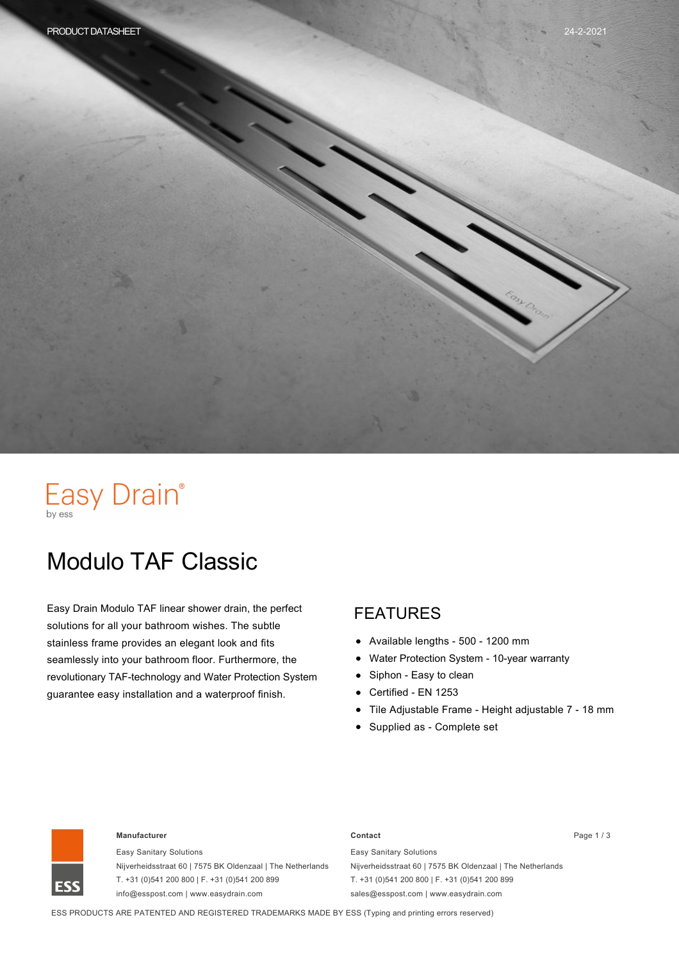# Easy Drain®

# Modulo TAF Classic

Easy Drain Modulo TAF linear shower drain, the perfect solutions for all your bathroom wishes. The subtle stainless frame provides an elegant look and fits seamlessly into your bathroom floor. Furthermore, the revolutionary TAF-technology and Water Protection System guarantee easy installation and a waterproof finish.

#### FEATURES

- Available lengths 500 1200 mm
- Water Protection System 10-year warranty
- Siphon Easy to clean  $\bullet$
- Certified EN 1253  $\bullet$
- Tile Adjustable Frame Height adjustable 7 18 mm
- Supplied as Complete set



#### **Manufacturer Contact** Page 1 / 3

Easy Sanitary Solutions Nijverheidsstraat 60 | 7575 BK Oldenzaal | The Netherlands T. +31 (0)541 200 800 | F. +31 (0)541 200 899 info@esspost.com | www.easydrain.com

Easy Sanitary Solutions Nijverheidsstraat 60 | 7575 BK Oldenzaal | The Netherlands T. +31 (0)541 200 800 | F. +31 (0)541 200 899 sales@esspost.com | www.easydrain.com

ESS PRODUCTS ARE PATENTED AND REGISTERED TRADEMARKS MADE BY ESS (Typing and printing errors reserved)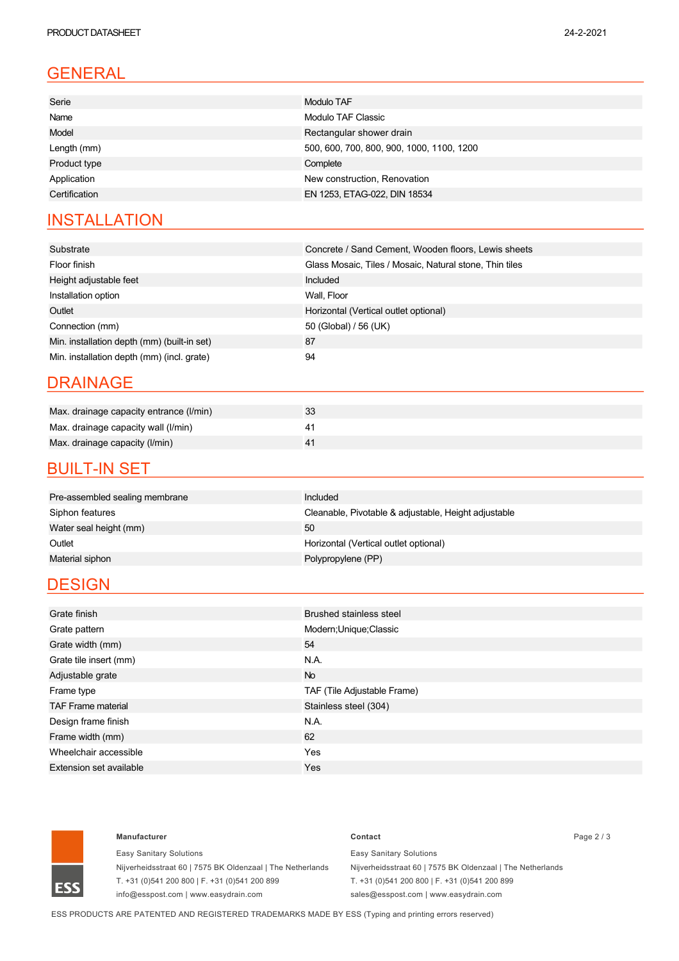### GENERAL

| Serie         | Modulo TAF                                |
|---------------|-------------------------------------------|
| Name          | Modulo TAF Classic                        |
| Model         | Rectangular shower drain                  |
| Length (mm)   | 500, 600, 700, 800, 900, 1000, 1100, 1200 |
| Product type  | Complete                                  |
| Application   | New construction, Renovation              |
| Certification | EN 1253, ETAG-022, DIN 18534              |
|               |                                           |

### **INSTALLATION**

| Substrate                                   | Concrete / Sand Cement, Wooden floors, Lewis sheets     |
|---------------------------------------------|---------------------------------------------------------|
| Floor finish                                | Glass Mosaic, Tiles / Mosaic, Natural stone, Thin tiles |
| Height adjustable feet                      | Included                                                |
| Installation option                         | Wall, Floor                                             |
| Outlet                                      | Horizontal (Vertical outlet optional)                   |
| Connection (mm)                             | 50 (Global) / 56 (UK)                                   |
| Min. installation depth (mm) (built-in set) | 87                                                      |
| Min. installation depth (mm) (incl. grate)  | 94                                                      |

#### DRAINAGE

| Max. drainage capacity entrance (I/min) | 33 |
|-----------------------------------------|----|
| Max. drainage capacity wall (I/min)     |    |
| Max. drainage capacity (I/min)          |    |

#### **BUILT-IN SET**

| Pre-assembled sealing membrane | Included                                             |
|--------------------------------|------------------------------------------------------|
| Siphon features                | Cleanable, Pivotable & adjustable, Height adjustable |
| Water seal height (mm)         | 50                                                   |
| Outlet                         | Horizontal (Vertical outlet optional)                |
| Material siphon                | Polypropylene (PP)                                   |
|                                |                                                      |

### **DESIGN**

| Grate finish              | <b>Brushed stainless steel</b> |
|---------------------------|--------------------------------|
| Grate pattern             | Modern; Unique; Classic        |
| Grate width (mm)          | 54                             |
| Grate tile insert (mm)    | N.A.                           |
| Adjustable grate          | <b>No</b>                      |
| Frame type                | TAF (Tile Adjustable Frame)    |
| <b>TAF Frame material</b> | Stainless steel (304)          |
| Design frame finish       | N.A.                           |
| Frame width (mm)          | 62                             |
| Wheelchair accessible     | Yes                            |
| Extension set available   | Yes                            |
|                           |                                |



#### **Manufacturer Contact** Page 2 / 3

Easy Sanitary Solutions Nijverheidsstraat 60 | 7575 BK Oldenzaal | The Netherlands T. +31 (0)541 200 800 | F. +31 (0)541 200 899 info@esspost.com | www.easydrain.com

Easy Sanitary Solutions Nijverheidsstraat 60 | 7575 BK Oldenzaal | The Netherlands T. +31 (0)541 200 800 | F. +31 (0)541 200 899 sales@esspost.com | www.easydrain.com

ESS PRODUCTS ARE PATENTED AND REGISTERED TRADEMARKS MADE BY ESS (Typing and printing errors reserved)